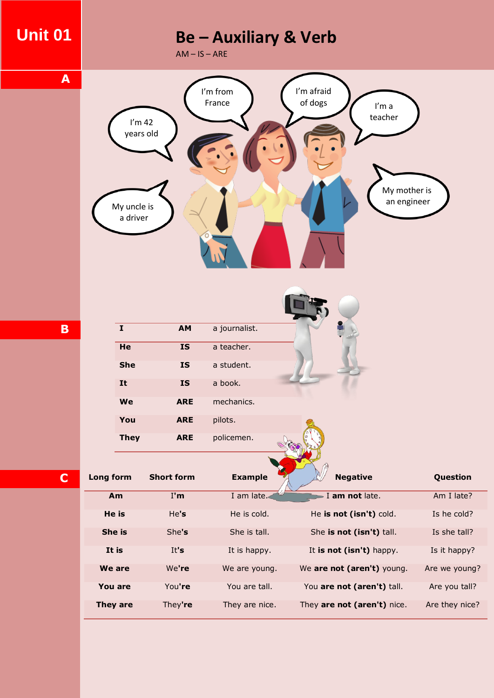## **Unit 01**

**A**

# **Be – Auxiliary & Verb**

 $AM - IS - ARE$ 



| I           | <b>AM</b>  | a journalist. |  |
|-------------|------------|---------------|--|
| He          | <b>IS</b>  | a teacher.    |  |
| <b>She</b>  | <b>IS</b>  | a student.    |  |
| It          | <b>IS</b>  | a book.       |  |
| We          | <b>ARE</b> | mechanics.    |  |
| You         | <b>ARE</b> | pilots.       |  |
| <b>They</b> | <b>ARE</b> | policemen.    |  |

**C**

**B**

**Long form Short form Example Negative Question Am** I'm I am late. I **am not** late. Am I late? **He is** He's He is cold. He is not (isn't) cold. Is he cold? **She is** She**'s** She is tall. She **is not (isn't)** tall. Is she tall? **It is** It's It is happy. It is **not (isn't)** happy. It is it happy? **We are** We**'re** We are young. We **are not (aren't)** young. Are we young? **You are** You**'re** You are tall. You **are not (aren't)** tall. Are you tall? **They are** They**'re** They are nice. They **are not (aren't)** nice. Are they nice?